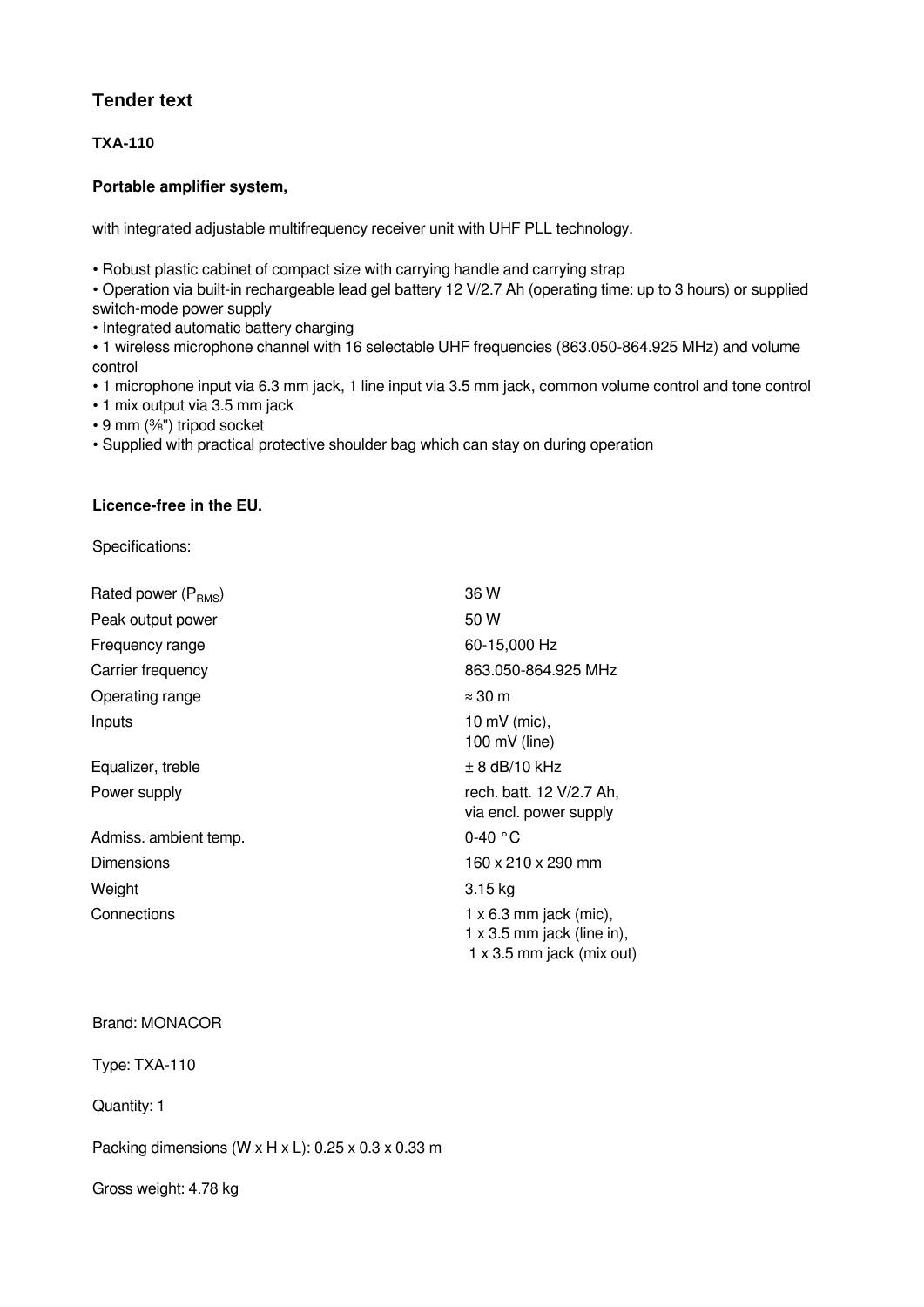## **Tender text**

**TXA-110**

## **Portable amplifier system,**

with integrated adjustable multifrequency receiver unit with UHF PLL technology.

• Robust plastic cabinet of compact size with carrying handle and carrying strap

• Operation via built-in rechargeable lead gel battery 12 V/2.7 Ah (operating time: up to 3 hours) or supplied switch-mode power supply

• Integrated automatic battery charging

• 1 wireless microphone channel with 16 selectable UHF frequencies (863.050‑864.925 MHz) and volume control

• 1 microphone input via 6.3 mm jack, 1 line input via 3.5 mm jack, common volume control and tone control

• 1 mix output via 3.5 mm jack

• 9 mm (%") tripod socket

• Supplied with practical protective shoulder bag which can stay on during operation

## **Licence-free in the EU.**

Specifications:

| Rated power (P <sub>RMS</sub> ) | 36 W                                                                                            |
|---------------------------------|-------------------------------------------------------------------------------------------------|
| Peak output power               | 50 W                                                                                            |
| Frequency range                 | 60-15,000 Hz                                                                                    |
| Carrier frequency               | 863.050-864.925 MHz                                                                             |
| Operating range                 | $\approx$ 30 m                                                                                  |
| Inputs                          | 10 mV (mic),<br>100 mV (line)                                                                   |
| Equalizer, treble               | $\pm$ 8 dB/10 kHz                                                                               |
| Power supply                    | rech. batt. 12 V/2.7 Ah,<br>via encl. power supply                                              |
| Admiss. ambient temp.           | $0-40$ °C                                                                                       |
| <b>Dimensions</b>               | 160 x 210 x 290 mm                                                                              |
| Weight                          | $3.15$ kg                                                                                       |
| Connections                     | $1 \times 6.3$ mm jack (mic),<br>1 x 3.5 mm jack (line in),<br>$1 \times 3.5$ mm jack (mix out) |

## Brand: MONACOR

Type: TXA-110

Quantity: 1

Packing dimensions (W  $\times$  H  $\times$  L): 0.25  $\times$  0.3  $\times$  0.33 m

Gross weight: 4.78 kg